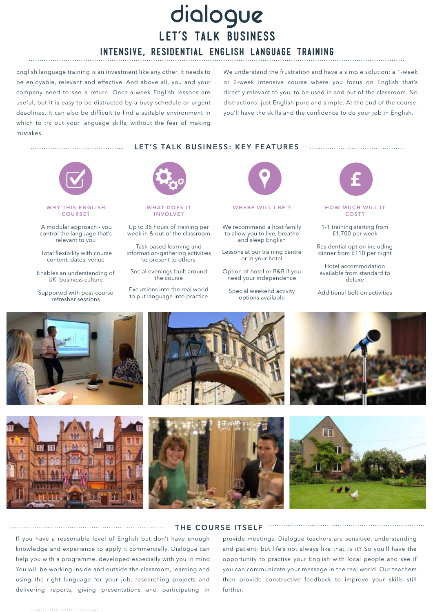# dialogue **LET'S TALK BUSINESS INTENSIVE, RESIDENTIAL ENGLISH LANGUAGE TRAINING**

English language training is an investment like any other. It needs to be enjoyable, relevant and effective. And above all, you and your company need to see a return. Once-a-week English lessons are useful, but it is easy to be distracted by a busy schedule or urgent deadlines. It can also be difficult to find a suitable environment in which to try out your language skills, without the fear of making mistakes.

We understand the frustration and have a simple solution: a 1-week or 2-week intensive course where you focus on English that's directly relevant to you, to be used in and out of the classroom. No distractions: just English pure and simple. At the end of the course, you'll have the skills and the confidence to do your job in English.

**LET'S TALK BUSINESS: KEY FEATURES**



#### **WHY THIS ENGLISH COURSE?**

 A modular approach - you control the language that's relevant to you

 Total flexibility with course content, dates, venue

Enables an understanding of UK business culture

Supported with post-course refresher sessions



**WHAT DOES IT INVOLVE?**

Up to 35 hours of training per week in & out of the classroom

Task-based learning and information-gathering activities to present to others

Social evenings built around the course

Excursions into the real world to put language into practice



**WHERE WILL I BE ?**

We recommend a host family to allow you to live, breathe and sleep English

Lessons at our training centre or in your hotel

Option of hotel or B&B if you need your independence

Special weekend activity options available



**HOW MUCH WILL IT COST?**

1-1 training starting from £1,700 per week

Residential option including dinner from £110 per night

Hotel accommodation available from standard to deluxe

Additional bolt-on activities





If you have a reasonable level of English but don't have enough knowledge and experience to apply it commercially, Dialogue can help you with a programme, developed especially with you in mind. You will be working inside and outside the classroom, learning and using the right language for your job, researching projects and

delivering reports, giving presentations and participating in

#### **THE COURSE ITSELF**

provide meetings. Dialogue teachers are sensitive, understanding and patient: but life's not always like that, is it? So you'll have the opportunity to practise your English with local people and see if you can communicate your message in the real world. Our teachers then provide constructive feedback to improve your skills still further.